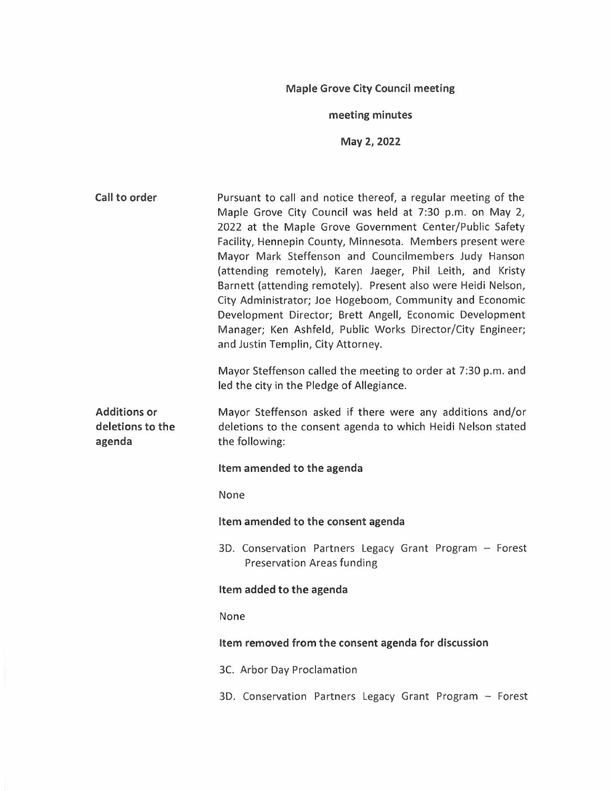# **Maple Grove City Council meeting**

# **meeting minutes**

**May 2, 2022** 

| Call to order                                     | Pursuant to call and notice thereof, a regular meeting of the<br>Maple Grove City Council was held at 7:30 p.m. on May 2,<br>2022 at the Maple Grove Government Center/Public Safety<br>Facility, Hennepin County, Minnesota. Members present were<br>Mayor Mark Steffenson and Councilmembers Judy Hanson<br>(attending remotely), Karen Jaeger, Phil Leith, and Kristy<br>Barnett (attending remotely). Present also were Heidi Nelson,<br>City Administrator; Joe Hogeboom, Community and Economic<br>Development Director; Brett Angell, Economic Development<br>Manager; Ken Ashfeld, Public Works Director/City Engineer;<br>and Justin Templin, City Attorney. |
|---------------------------------------------------|-----------------------------------------------------------------------------------------------------------------------------------------------------------------------------------------------------------------------------------------------------------------------------------------------------------------------------------------------------------------------------------------------------------------------------------------------------------------------------------------------------------------------------------------------------------------------------------------------------------------------------------------------------------------------|
|                                                   | Mayor Steffenson called the meeting to order at 7:30 p.m. and<br>led the city in the Pledge of Allegiance.                                                                                                                                                                                                                                                                                                                                                                                                                                                                                                                                                            |
| <b>Additions or</b><br>deletions to the<br>agenda | Mayor Steffenson asked if there were any additions and/or<br>deletions to the consent agenda to which Heidi Nelson stated<br>the following:                                                                                                                                                                                                                                                                                                                                                                                                                                                                                                                           |
|                                                   | Item amended to the agenda                                                                                                                                                                                                                                                                                                                                                                                                                                                                                                                                                                                                                                            |
|                                                   | None                                                                                                                                                                                                                                                                                                                                                                                                                                                                                                                                                                                                                                                                  |
|                                                   | Item amended to the consent agenda                                                                                                                                                                                                                                                                                                                                                                                                                                                                                                                                                                                                                                    |
|                                                   | 3D. Conservation Partners Legacy Grant Program - Forest<br><b>Preservation Areas funding</b>                                                                                                                                                                                                                                                                                                                                                                                                                                                                                                                                                                          |
|                                                   | Item added to the agenda                                                                                                                                                                                                                                                                                                                                                                                                                                                                                                                                                                                                                                              |
|                                                   | None                                                                                                                                                                                                                                                                                                                                                                                                                                                                                                                                                                                                                                                                  |
|                                                   | Item removed from the consent agenda for discussion                                                                                                                                                                                                                                                                                                                                                                                                                                                                                                                                                                                                                   |
|                                                   | 3C. Arbor Day Proclamation                                                                                                                                                                                                                                                                                                                                                                                                                                                                                                                                                                                                                                            |
|                                                   | 3D. Conservation Partners Legacy Grant Program - Forest                                                                                                                                                                                                                                                                                                                                                                                                                                                                                                                                                                                                               |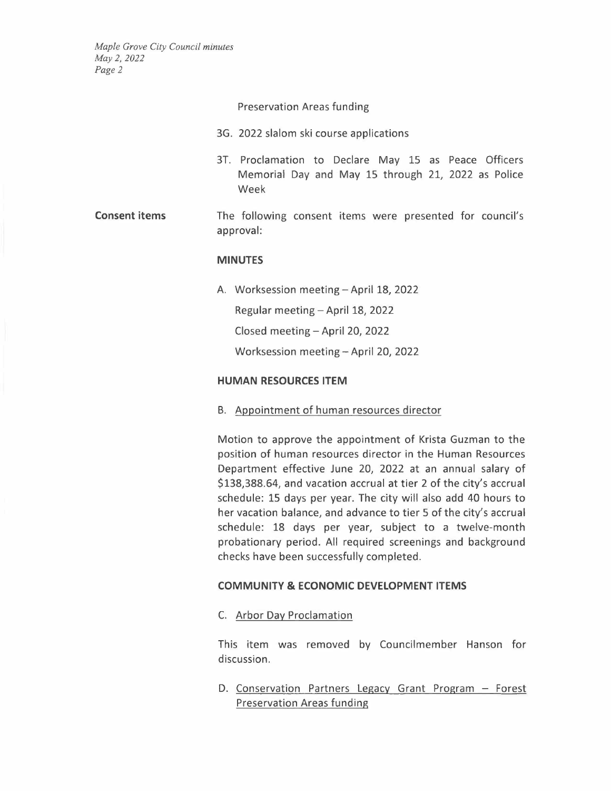Preservation Areas funding

- 3G. 2022 slalom ski course applications
- 3T. Proclamation to Declare May 15 as Peace Officers Memorial Day and May 15 through 21, 2022 as Police Week
- **Consent items** The following consent items were presented for council's approval:

#### **MINUTES**

A. Worksession meeting - April 18, 2022

Regular meeting - April 18, 2022

Closed meeting - April 20, 2022

Worksession meeting - April 20, 2022

### **HUMAN RESOURCES ITEM**

8. Appointment of human resources director

Motion to approve the appointment of Krista Guzman to the position of human resources director in the Human Resources Department effective June 20, 2022 at an annual salary of \$138,388.64, and vacation accrual at tier 2 of the city's accrual schedule: 15 days per year. The city will also add 40 hours to her vacation balance, and advance to tier 5 of the city's accrual schedule: 18 days per year, subject to a twelve-month probationary period. All required screenings and background checks have been successfully completed.

### **COMMUNITY & ECONOMIC DEVELOPMENT ITEMS**

C. Arbor Day Proclamation

This item was removed by Councilmember Hanson for discussion.

D. Conservation Partners Legacy Grant Program - Forest Preservation Areas funding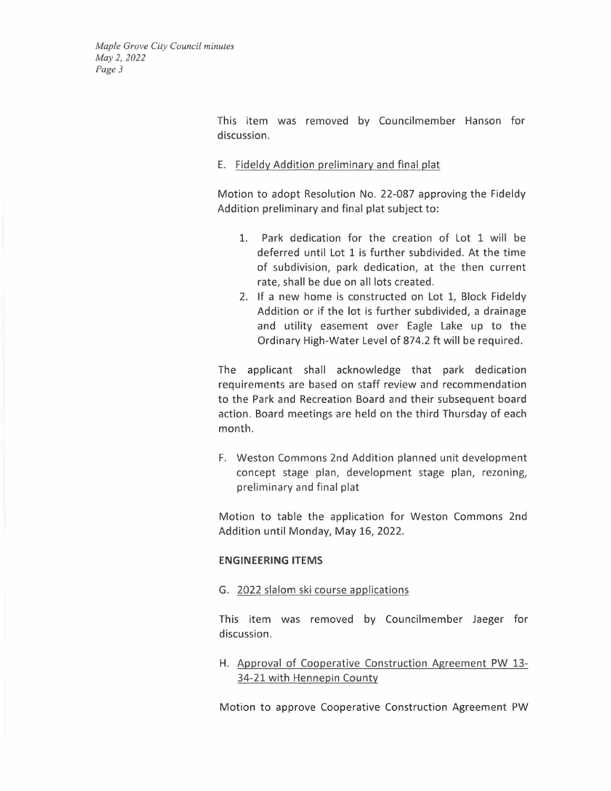> This item was removed by Councilmember Hanson for discussion.

### E. Fideldy Addition preliminary and final plat

Motion to adopt Resolution No. 22-087 approving the Fideldy Addition preliminary and final plat subject to:

- 1. Park dedication for the creation of Lot 1 will be deferred until Lot 1 is further subdivided. At the time of subdivision, park dedication, at the then current rate, shall be due on all lots created.
- 2. If a new home is constructed on Lot 1, Block Fideldy Addition or if the lot is further subdivided, a drainage and utility easement over Eagle Lake up to the Ordinary High-Water Level of 874.2 ft will be required.

The applicant shall acknowledge that park dedication requirements are based on staff review and recommendation to the Park and Recreation Board and their subsequent board action. Board meetings are held on the third Thursday of each month.

F. Weston Commons 2nd Addition planned unit development concept stage plan, development stage plan, rezoning, preliminary and final plat

Motion to table the application for Weston Commons 2nd Addition until Monday, May 16, 2022.

### **ENGINEERING ITEMS**

G. 2022 slalom ski course applications

This item was removed by Councilmember Jaeger for discussion.

H. Approval of Cooperative Construction Agreement PW 13- 34-21 with Hennepin County

Motion to approve Cooperative Construction Agreement PW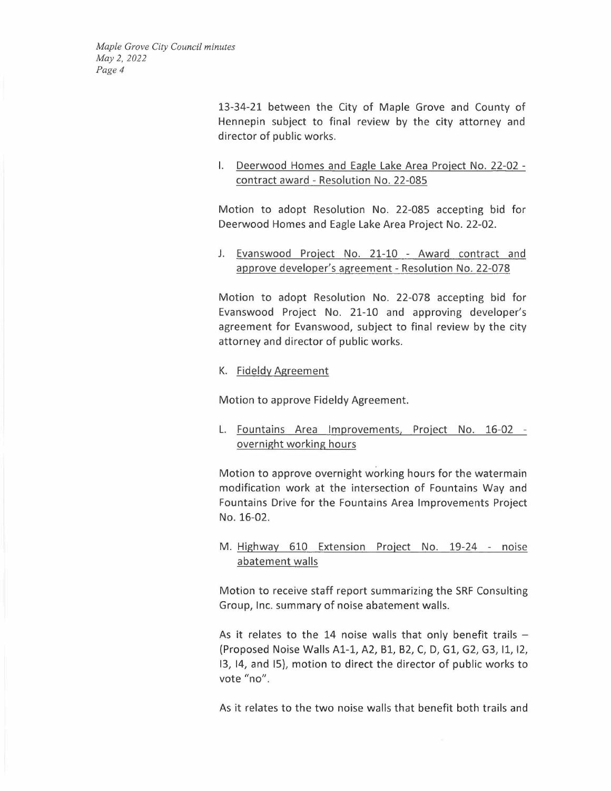> 13-34-21 between the City of Maple Grove and County of Hennepin subject to final review by the city attorney and director of public works.

> I. Deerwood Homes and Eagle Lake Area Project No. 22-02 contract award - Resolution No. 22-085

> Motion to adopt Resolution No. 22-085 accepting bid for Deerwood Homes and Eagle Lake Area Project No. 22-02.

> J. Eyanswood Project No. 21-10 - Award contract and approve developer's agreement - Resolution No. 22-078

> Motion to adopt Resolution No. 22-078 accepting bid for Evanswood Project No. 21-10 and approving developer's agreement for Evanswood, subject to final review by the city attorney and director of public works.

K. Fideldy Agreement

Motion to approve Fideldy Agreement.

L. Fountains Area Improvements, Project No. 16-02 overnight working hours

Motion to approve overnight working hours for the watermain modification work at the intersection of Fountains Way and Fountains Drive for the Fountains Area Improvements Project No. 16-02.

M. Highway 610 Extension Project No. 19-24 - noise abatement walls

Motion to receive staff report summarizing the SRF Consulting Group, Inc. summary of noise abatement walls.

As it relates to the 14 noise walls that only benefit trails  $-$ (Proposed Noise Walls A1-1, A2, Bl, B2, C, D, Gl, G2, G3, 11, 12, 13, 14, and I5), motion to direct the director of public works to vote "no".

As it relates to the two noise walls that benefit both trails and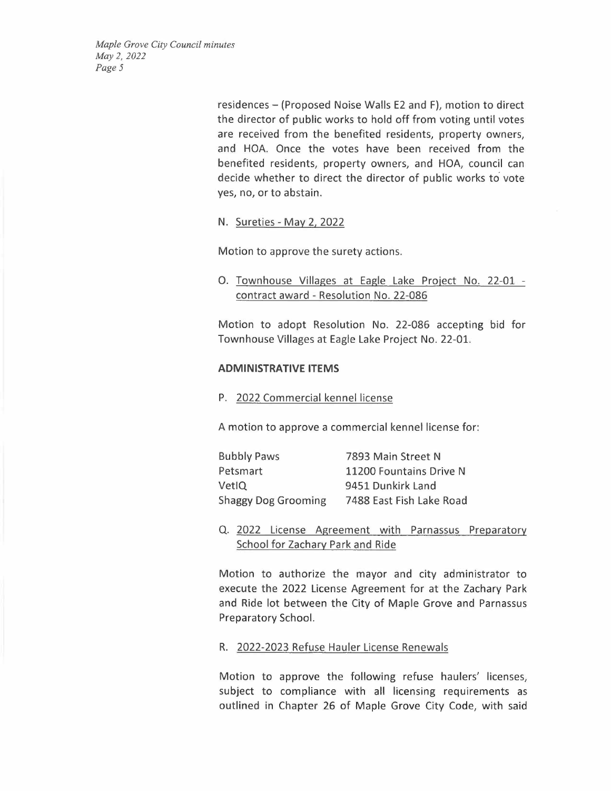> residences - (Proposed Noise Walls E2 and F), motion to direct the director of public works to hold off from voting until votes are received from the benefited residents, property owners, and HOA. Once the votes have been received from the benefited residents, property owners, and HOA, council can decide whether to direct the director of public works to vote yes, no, or to abstain.

N. Sureties- May 2, 2022

Motion to approve the surety actions.

0. Townhouse Villages at Eagle Lake Project No. 22-01 contract award - Resolution No. 22-086

Motion to adopt Resolution No. 22-086 accepting bid for Townhouse Villages at Eagle Lake Project No. 22-01.

### **ADMINISTRATIVE ITEMS**

P. 2022 Commercial kennel license

A motion to approve a commercial kennel license for:

| <b>Bubbly Paws</b>         | 7893 Main Street N       |
|----------------------------|--------------------------|
| Petsmart                   | 11200 Fountains Drive N  |
| VetlQ                      | 9451 Dunkirk Land        |
| <b>Shaggy Dog Grooming</b> | 7488 East Fish Lake Road |

Q. 2022 License Agreement with Parnassus Preparatory School for Zachary Park and Ride

Motion to authorize the mayor and city administrator to execute the 2022 License Agreement for at the Zachary Park and Ride lot between the City of Maple Grove and Parnassus Preparatory School.

#### R. 2022-2023 Refuse Hauler License Renewals

Motion to approve the following refuse haulers' licenses, subject to compliance with all licensing requirements as outlined in Chapter 26 of Maple Grove City Code, with said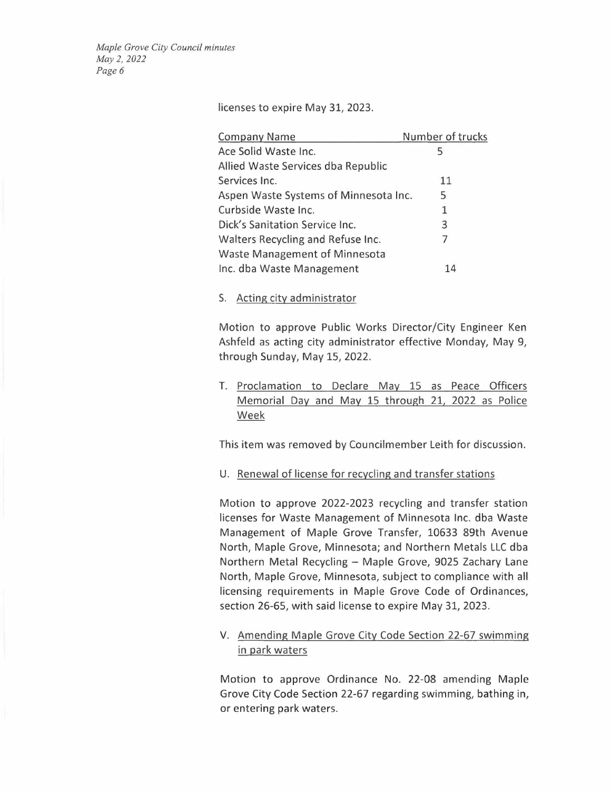licenses to expire May 31, 2023.

| <b>Company Name</b>                   | Number of trucks |
|---------------------------------------|------------------|
| Ace Solid Waste Inc.                  | 5                |
| Allied Waste Services dba Republic    |                  |
| Services Inc.                         | 11               |
| Aspen Waste Systems of Minnesota Inc. | 5                |
| Curbside Waste Inc.                   | $\mathbf{1}$     |
| Dick's Sanitation Service Inc.        | 3                |
| Walters Recycling and Refuse Inc.     | 7                |
| Waste Management of Minnesota         |                  |
| Inc. dba Waste Management             | 14               |

#### S. Acting city administrator

Motion to approve Public Works Director/City Engineer Ken Ashfeld as acting city administrator effective Monday, May 9, through Sunday, May 15, 2022.

T. Proclamation to Declare May 15 as Peace Officers Memorial Day and May 15 through 21, 2022 as Police Week

This item was removed by Councilmember Leith for discussion.

U. Renewal of license for recycling and transfer stations

Motion to approve 2022-2023 recycling and transfer station licenses for Waste Management of Minnesota Inc. dba Waste Management of Maple Grove Transfer, 10633 89th Avenue North, Maple Grove, Minnesota; and Northern Metals LLC dba Northern Metal Recycling - Maple Grove, 9025 Zachary Lane North, Maple Grove, Minnesota, subject to compliance with all licensing requirements in Maple Grove Code of Ordinances, section 26-65, with said license to expire May 31, 2023.

V. Amending Maple Grove City Code Section 22-67 swimming in park waters

Motion to approve Ordinance No. 22-08 amending Maple Grove City Code Section 22-67 regarding swimming, bathing in, or entering park waters.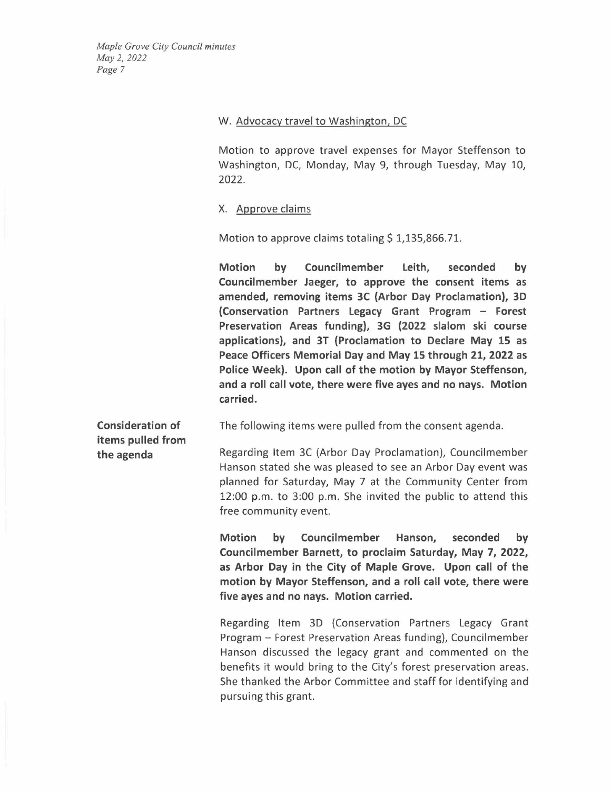# W. Advocacy travel to Washington, DC

Motion to approve travel expenses for Mayor Steffenson to Washington, DC, Monday, May 9, through Tuesday, May 10, 2022.

# X. Approve claims

Motion to approve claims totaling  $$1,135,866.71$ .

**Motion by Councilmember Leith, seconded by Councilmember Jaeger, to approve the consent items as amended, removing items 3C (Arbor Day Proclamation), 3D (Conservation Partners Legacy Grant Program - Forest Preservation Areas funding), 3G (2022 slalom ski course applications), and 3T (Proclamation to Declare May 15 as Peace Officers Memorial Day and May 15 through 21, 2022 as Police Week). Upon call of the motion by Mayor Steffenson, and a roll call vote, there were five ayes and no nays. Motion carried.** 

**Consideration of items pulled from the agenda** 

The following items were pulled from the consent agenda.

Regarding Item 3C (Arbor Day Proclamation), Councilmember Hanson stated she was pleased to see an Arbor Day event was planned for Saturday, May 7 at the Community Center from 12:00 p.m. to 3:00 p.m. She invited the public to attend this free community event.

**Motion by Councilmember Hanson, seconded by Councilmember Barnett, to proclaim Saturday, May 7, 2022, as Arbor Day in the City of Maple Grove. Upon call of the motion by Mayor Steffenson, and a roll call vote, there were five ayes and no nays. Motion carried.** 

Regarding Item 3D (Conservation Partners Legacy Grant Program - Forest Preservation Areas funding), Councilmember Hanson discussed the legacy grant and commented on the benefits it would bring to the City's forest preservation areas. She thanked the Arbor Committee and staff for identifying and pursuing this grant.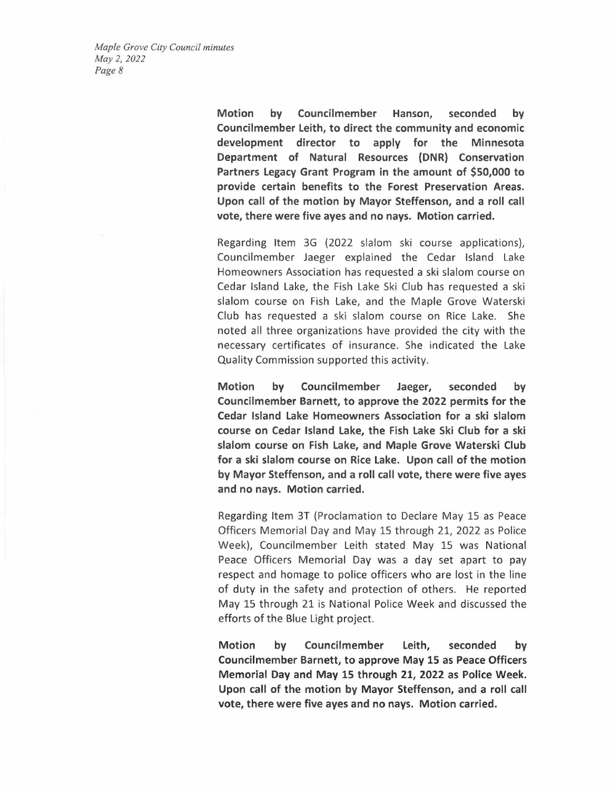> **Motion by Councilmember Hanson, seconded by Councilmember Leith, to direct the community and economic development director to apply for the Minnesota Department of Natural Resources {DNR) Conservation Partners Legacy Grant Program in the amount of \$50,000 to provide certain benefits to the Forest Preservation Areas. Upon call of the motion by Mayor Steffenson, and a roll call vote, there were five ayes and no nays. Motion carried.**

> Regarding Item 3G (2022 slalom ski course applications), Councilmember Jaeger explained the Cedar Island Lake Homeowners Association has requested a ski slalom course on Cedar Island Lake, the Fish Lake Ski Club has requested a ski slalom course on Fish Lake, and the Maple Grove Waterski Club has requested a ski slalom course on Rice Lake. She noted all three organizations have provided the city with the necessary certificates of insurance. She indicated the Lake Quality Commission supported this activity.

> **Motion by Councilmember Jaeger, seconded by Councilmember Barnett, to approve the 2022 permits for the Cedar Island Lake Homeowners Association for a ski slalom course on Cedar Island Lake, the Fish Lake Ski Club for a ski slalom course on Fish Lake, and Maple Grove Waterski Club for a ski slalom course on Rice Lake. Upon call of the motion by Mayor Steffenson, and a roll call vote, there were five ayes and no nays. Motion carried.**

> Regarding Item 3T (Proclamation to Declare May 15 as Peace Officers Memorial Day and May 15 through 21, 2022 as Police Week), Councilmember Leith stated May 15 was National Peace Officers Memorial Day was a day set apart to pay respect and homage to police officers who are lost in the line of duty in the safety and protection of others. He reported May 15 through 21 is National Police Week and discussed the efforts of the Blue Light project.

> **Motion by Councilmember Leith, seconded by Councilmember Barnett, to approve May 15 as Peace Officers Memorial Day and May 15 through 21, 2022 as Police Week. Upon call of the motion by Mayor Steffenson, and a roll call vote, there were five ayes and no nays. Motion carried.**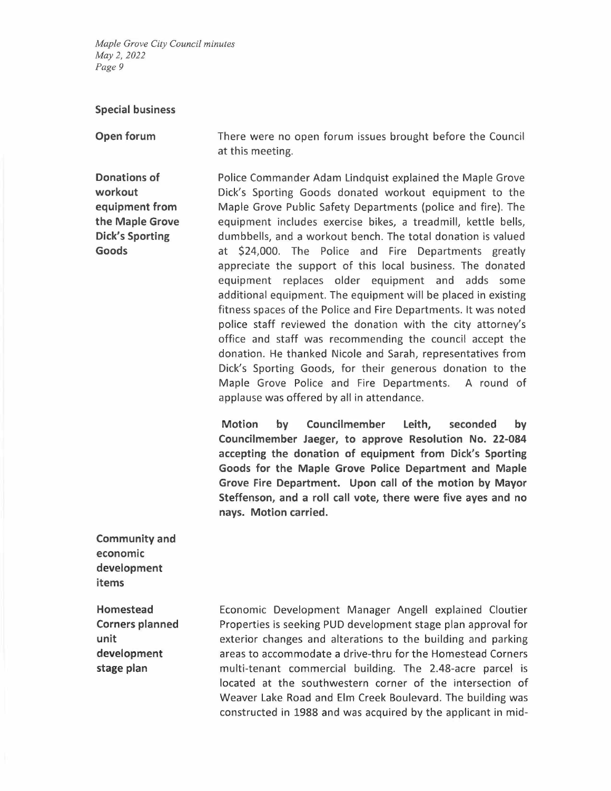#### **Special business**

**Open forum** 

**Donations of workout equipment from the Maple Grove Dick's Sporting Goods** 

There were no open forum issues brought before the Council at this meeting.

Police Commander Adam Lindquist explained the Maple Grove Dick's Sporting Goods donated workout equipment to the Maple Grove Public Safety Departments (police and fire). The equipment includes exercise bikes, a treadmill, kettle bells, dumbbells, and a workout bench. The total donation is valued at \$24,000. The Police and Fire Departments greatly appreciate the support of this local business. The donated equipment replaces older equipment and adds some additional equipment. The equipment will be placed in existing fitness spaces of the Police and Fire Departments. It was noted police staff reviewed the donation with the city attorney's office and staff was recommending the council accept the donation. He thanked Nicole and Sarah, representatives from Dick's Sporting Goods, for their generous donation to the Maple Grove Police and Fire Departments. A round of applause was offered by all in attendance.

**Motion by Councilmember Leith, seconded by Councilmember Jaeger, to approve Resolution No. 22-084 accepting the donation of equipment from Dick's Sporting Goods for the Maple Grove Police Department and Maple Grove Fire Department. Upon call of the motion by Mayor Steffenson, and a roll call vote, there were five ayes and no nays. Motion carried.** 

**Community and economic development items** 

**Homestead Corners planned unit development stage plan** 

Economic Development Manager Angell explained Cloutier Properties is seeking PUD development stage plan approval for exterior changes and alterations to the building and parking areas to accommodate a drive-thru for the Homestead Corners multi-tenant commercial building. The 2.48-acre parcel is located at the southwestern corner of the intersection of Weaver Lake Road and Elm Creek Boulevard. The building was constructed in 1988 and was acquired by the applicant in mid-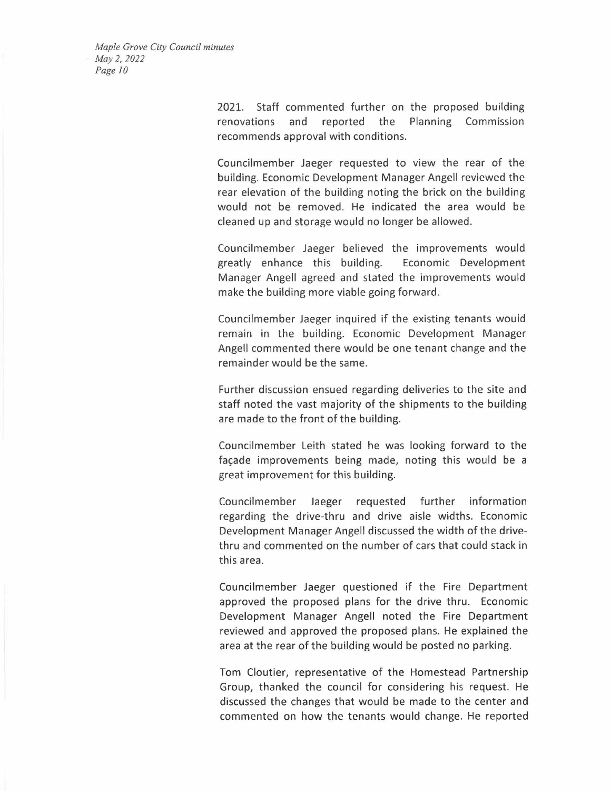> 2021. Staff commented further on the proposed building renovations and reported the Planning Commission recommends approval with conditions.

> Councilmember Jaeger requested to view the rear of the building. Economic Development Manager Angell reviewed the rear elevation of the building noting the brick on the building would not be removed. He indicated the area would be cleaned up and storage would no longer be allowed.

> Councilmember Jaeger believed the improvements would greatly enhance this building. Economic Development Manager Angell agreed and stated the improvements would make the building more viable going forward.

> Councilmember Jaeger inquired if the existing tenants would remain in the building. Economic Development Manager Angell commented there would be one tenant change and the remainder would be the same.

> Further discussion ensued regarding deliveries to the site and staff noted the vast majority of the shipments to the building are made to the front of the building.

> Councilmember Leith stated he was looking forward to the facade improvements being made, noting this would be a great improvement for this building.

> Councilmember Jaeger requested further information regarding the drive-thru and drive aisle widths. Economic Development Manager Angell discussed the width of the drivethru and commented on the number of cars that could stack in this area.

> Councilmember Jaeger questioned if the Fire Department approved the proposed plans for the drive thru. Economic Development Manager Angell noted the Fire Department reviewed and approved the proposed plans. He explained the area at the rear of the building would be posted no parking.

> Tom Cloutier, representative of the Homestead Partnership Group, thanked the council for considering his request. He discussed the changes that would be made to the center and commented on how the tenants would change. He reported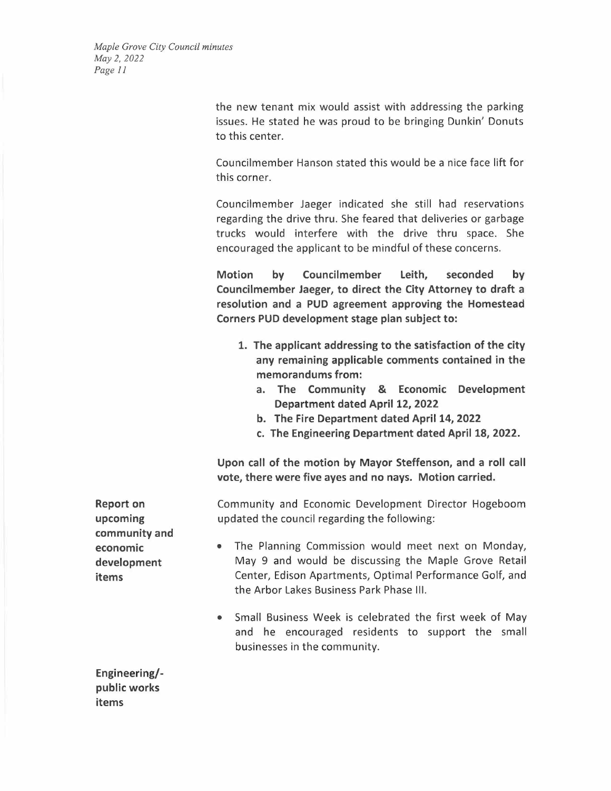> the new tenant mix would assist with addressing the parking issues. He stated he was proud to be bringing Dunkin' Donuts to this center.

> Councilmember Hanson stated this would be a nice face lift for this corner.

> Councilmember Jaeger indicated she still had reservations regarding the drive thru. She feared that deliveries or garbage trucks would interfere with the drive thru space. She encouraged the applicant to be mindful of these concerns.

> **Motion by Councilmember Leith, seconded by Councilmember Jaeger, to direct the City Attorney to draft a resolution and a PUD agreement approving the Homestead Corners PUD development stage plan subject to:**

- **1. The applicant addressing to the satisfaction of the city any remaining applicable comments contained in the memorandums from:** 
	- **a. The Community** & **Economic Development Department dated April 12, 2022**
	- **b. The Fire Department dated April 14, 2022**
	- **c. The Engineering Department dated April 18, 2022.**

**Upon call of the motion by Mayor Steffenson, and a roll call vote, there were five ayes and no nays. Motion carried.** 

Community and Economic Development Director Hogeboom updated the council regarding the following:

- The Planning Commission would meet next on Monday, May 9 and would be discussing the Maple Grove Retail Center, Edison Apartments, Optimal Performance Golf, and the Arbor Lakes Business Park Phase Ill.
- Small Business Week is celebrated the first week of May and he encouraged residents to support the small businesses in the community.

**Engineering/ public works items** 

**Report on upcoming community and economic development items**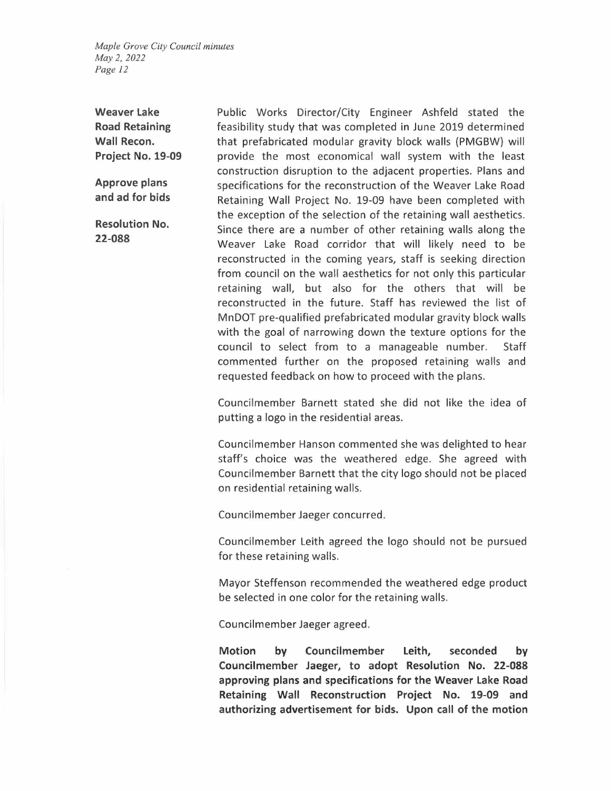**Weaver Lake Road Retaining Wall Recon. Project No. 19-09** 

**Approve plans and ad for bids** 

**Resolution No. 22-088** 

Public Works Director/City Engineer Ashfeld stated the feasibility study that was completed in June 2019 determined that prefabricated modular gravity block walls (PMGBW) will provide the most economical wall system with the least construction disruption to the adjacent properties. Plans and specifications for the reconstruction of the Weaver Lake Road Retaining Wall Project No. 19-09 have been completed with the exception of the selection of the retaining wall aesthetics. Since there are a number of other retaining walls along the Weaver Lake Road corridor that will likely need to be reconstructed in the coming years, staff is seeking direction from council on the wall aesthetics for not only this particular retaining wall, but also for the others that will be reconstructed in the future. Staff has reviewed the list of MnDOT pre-qualified prefabricated modular gravity block walls with the goal of narrowing down the texture options for the council to select from to a manageable number. Staff commented further on the proposed retaining walls and requested feedback on how to proceed with the plans.

Councilmember Barnett stated she did not like the idea of putting a logo in the residential areas.

Councilmember Hanson commented she was delighted to hear staff's choice was the weathered edge. She agreed with Councilmember Barnett that the city logo should not be placed on residential retaining walls.

Councilmember Jaeger concurred.

Councilmember Leith agreed the logo should not be pursued for these retaining walls.

Mayor Steffenson recommended the weathered edge product be selected in one color for the retaining walls.

Councilmember Jaeger agreed.

**Motion by Councilmember Leith, seconded by Councilmember Jaeger, to adopt Resolution No. 22-088 approving plans and specifications for the Weaver Lake Road Retaining Wall Reconstruction Project No. 19-09 and authorizing advertisement for bids. Upon call of the motion**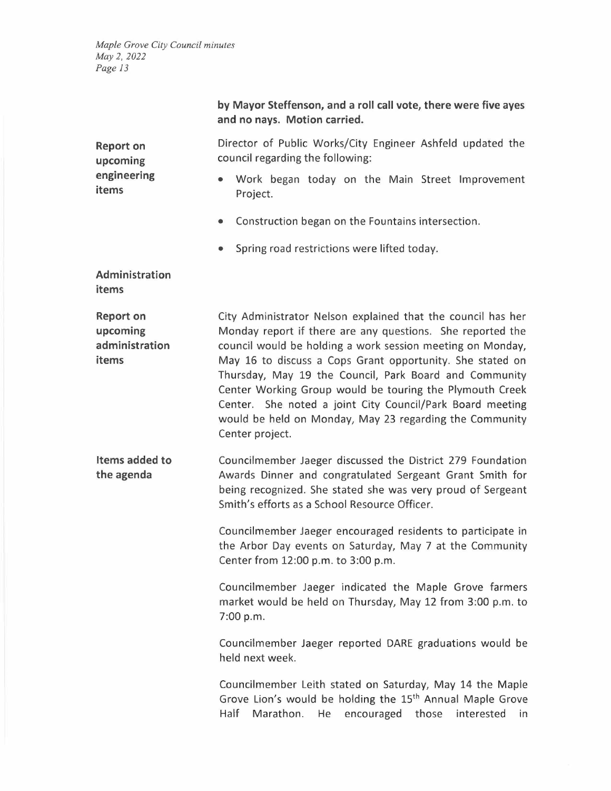|                                                         | by Mayor Steffenson, and a roll call vote, there were five ayes<br>and no nays. Motion carried.                                                                                                                                                                                                                                                                                                                                                                                                                        |
|---------------------------------------------------------|------------------------------------------------------------------------------------------------------------------------------------------------------------------------------------------------------------------------------------------------------------------------------------------------------------------------------------------------------------------------------------------------------------------------------------------------------------------------------------------------------------------------|
| <b>Report on</b><br>upcoming<br>engineering<br>items    | Director of Public Works/City Engineer Ashfeld updated the<br>council regarding the following:                                                                                                                                                                                                                                                                                                                                                                                                                         |
|                                                         | Work began today on the Main Street Improvement<br>Project.                                                                                                                                                                                                                                                                                                                                                                                                                                                            |
|                                                         | Construction began on the Fountains intersection.<br>۰                                                                                                                                                                                                                                                                                                                                                                                                                                                                 |
|                                                         | Spring road restrictions were lifted today.<br>$\bullet$                                                                                                                                                                                                                                                                                                                                                                                                                                                               |
| Administration<br>items                                 |                                                                                                                                                                                                                                                                                                                                                                                                                                                                                                                        |
| <b>Report on</b><br>upcoming<br>administration<br>items | City Administrator Nelson explained that the council has her<br>Monday report if there are any questions. She reported the<br>council would be holding a work session meeting on Monday,<br>May 16 to discuss a Cops Grant opportunity. She stated on<br>Thursday, May 19 the Council, Park Board and Community<br>Center Working Group would be touring the Plymouth Creek<br>Center. She noted a joint City Council/Park Board meeting<br>would be held on Monday, May 23 regarding the Community<br>Center project. |
| Items added to<br>the agenda                            | Councilmember Jaeger discussed the District 279 Foundation<br>Awards Dinner and congratulated Sergeant Grant Smith for<br>being recognized. She stated she was very proud of Sergeant<br>Smith's efforts as a School Resource Officer.                                                                                                                                                                                                                                                                                 |
|                                                         | Councilmember Jaeger encouraged residents to participate in<br>the Arbor Day events on Saturday, May 7 at the Community<br>Center from 12:00 p.m. to 3:00 p.m.                                                                                                                                                                                                                                                                                                                                                         |
|                                                         | Councilmember Jaeger indicated the Maple Grove farmers<br>market would be held on Thursday, May 12 from 3:00 p.m. to<br>7:00 p.m.                                                                                                                                                                                                                                                                                                                                                                                      |
|                                                         | Councilmember Jaeger reported DARE graduations would be<br>held next week.                                                                                                                                                                                                                                                                                                                                                                                                                                             |
|                                                         | Councilmember Leith stated on Saturday, May 14 the Maple<br>Grove Lion's would be holding the 15 <sup>th</sup> Annual Maple Grove<br>Half<br>Marathon.<br>encouraged<br>He<br>those<br>interested<br>in                                                                                                                                                                                                                                                                                                                |